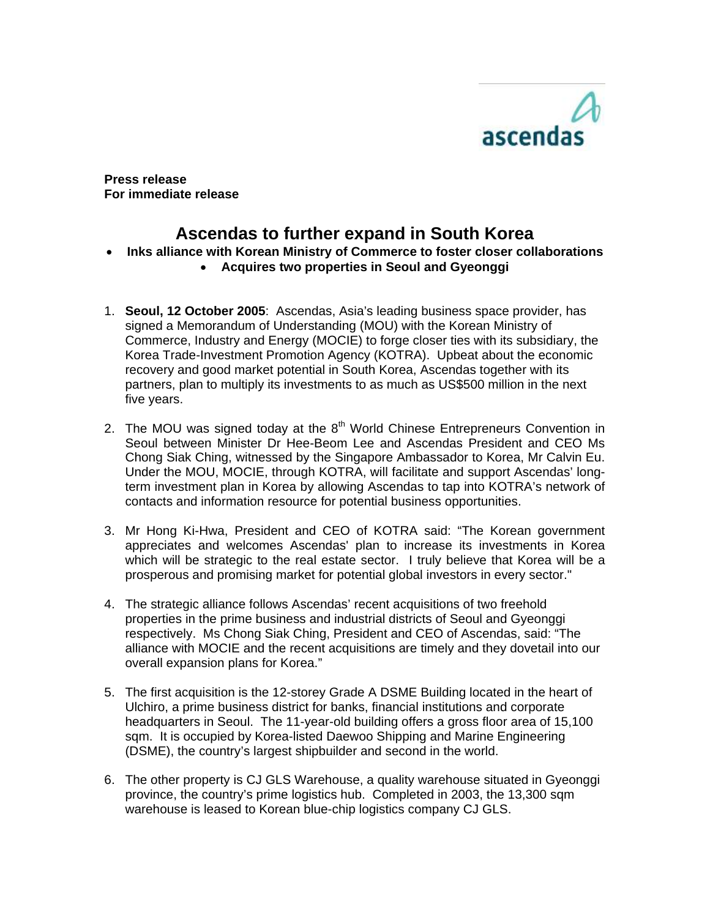

**Press release For immediate release** 

# **Ascendas to further expand in South Korea**

## • **Inks alliance with Korean Ministry of Commerce to foster closer collaborations**

- **Acquires two properties in Seoul and Gyeonggi**
- 1. **Seoul, 12 October 2005**: Ascendas, Asia's leading business space provider, has signed a Memorandum of Understanding (MOU) with the Korean Ministry of Commerce, Industry and Energy (MOCIE) to forge closer ties with its subsidiary, the Korea Trade-Investment Promotion Agency (KOTRA). Upbeat about the economic recovery and good market potential in South Korea, Ascendas together with its partners, plan to multiply its investments to as much as US\$500 million in the next five years.
- 2. The MOU was signed today at the  $8<sup>th</sup>$  World Chinese Entrepreneurs Convention in Seoul between Minister Dr Hee-Beom Lee and Ascendas President and CEO Ms Chong Siak Ching, witnessed by the Singapore Ambassador to Korea, Mr Calvin Eu. Under the MOU, MOCIE, through KOTRA, will facilitate and support Ascendas' longterm investment plan in Korea by allowing Ascendas to tap into KOTRA's network of contacts and information resource for potential business opportunities.
- 3. Mr Hong Ki-Hwa, President and CEO of KOTRA said: "The Korean government appreciates and welcomes Ascendas' plan to increase its investments in Korea which will be strategic to the real estate sector. I truly believe that Korea will be a prosperous and promising market for potential global investors in every sector."
- 4. The strategic alliance follows Ascendas' recent acquisitions of two freehold properties in the prime business and industrial districts of Seoul and Gyeonggi respectively. Ms Chong Siak Ching, President and CEO of Ascendas, said: "The alliance with MOCIE and the recent acquisitions are timely and they dovetail into our overall expansion plans for Korea."
- 5. The first acquisition is the 12-storey Grade A DSME Building located in the heart of Ulchiro, a prime business district for banks, financial institutions and corporate headquarters in Seoul. The 11-year-old building offers a gross floor area of 15,100 sqm. It is occupied by Korea-listed Daewoo Shipping and Marine Engineering (DSME), the country's largest shipbuilder and second in the world.
- 6. The other property is CJ GLS Warehouse, a quality warehouse situated in Gyeonggi province, the country's prime logistics hub. Completed in 2003, the 13,300 sqm warehouse is leased to Korean blue-chip logistics company CJ GLS.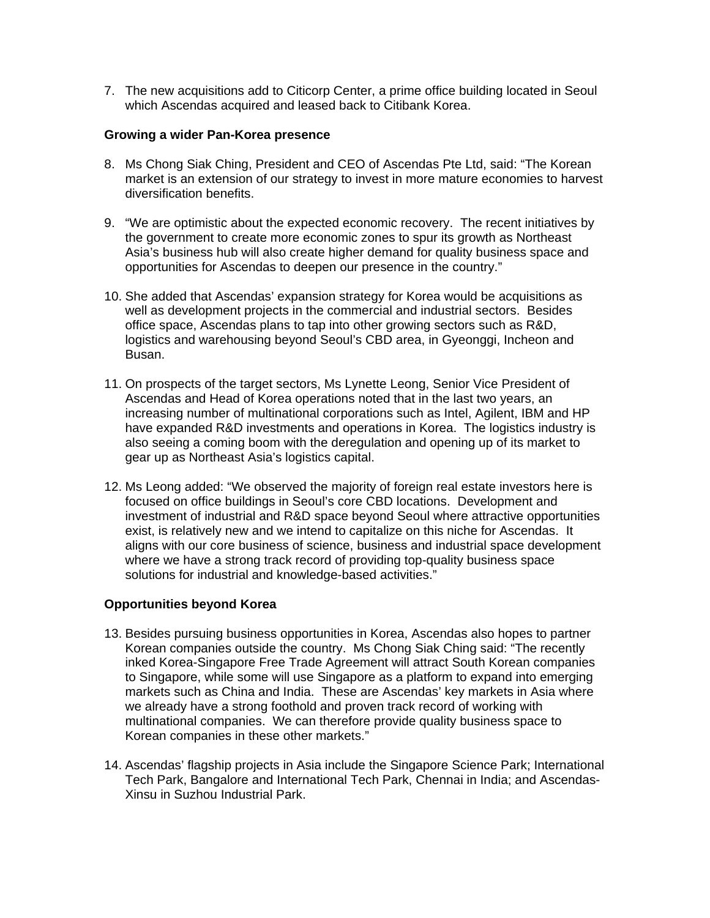7. The new acquisitions add to Citicorp Center, a prime office building located in Seoul which Ascendas acquired and leased back to Citibank Korea.

### **Growing a wider Pan-Korea presence**

- 8. Ms Chong Siak Ching, President and CEO of Ascendas Pte Ltd, said: "The Korean market is an extension of our strategy to invest in more mature economies to harvest diversification benefits.
- 9. "We are optimistic about the expected economic recovery. The recent initiatives by the government to create more economic zones to spur its growth as Northeast Asia's business hub will also create higher demand for quality business space and opportunities for Ascendas to deepen our presence in the country."
- 10. She added that Ascendas' expansion strategy for Korea would be acquisitions as well as development projects in the commercial and industrial sectors. Besides office space, Ascendas plans to tap into other growing sectors such as R&D, logistics and warehousing beyond Seoul's CBD area, in Gyeonggi, Incheon and Busan.
- 11. On prospects of the target sectors, Ms Lynette Leong, Senior Vice President of Ascendas and Head of Korea operations noted that in the last two years, an increasing number of multinational corporations such as Intel, Agilent, IBM and HP have expanded R&D investments and operations in Korea. The logistics industry is also seeing a coming boom with the deregulation and opening up of its market to gear up as Northeast Asia's logistics capital.
- 12. Ms Leong added: "We observed the majority of foreign real estate investors here is focused on office buildings in Seoul's core CBD locations. Development and investment of industrial and R&D space beyond Seoul where attractive opportunities exist, is relatively new and we intend to capitalize on this niche for Ascendas. It aligns with our core business of science, business and industrial space development where we have a strong track record of providing top-quality business space solutions for industrial and knowledge-based activities."

## **Opportunities beyond Korea**

- 13. Besides pursuing business opportunities in Korea, Ascendas also hopes to partner Korean companies outside the country. Ms Chong Siak Ching said: "The recently inked Korea-Singapore Free Trade Agreement will attract South Korean companies to Singapore, while some will use Singapore as a platform to expand into emerging markets such as China and India. These are Ascendas' key markets in Asia where we already have a strong foothold and proven track record of working with multinational companies. We can therefore provide quality business space to Korean companies in these other markets."
- 14. Ascendas' flagship projects in Asia include the Singapore Science Park; International Tech Park, Bangalore and International Tech Park, Chennai in India; and Ascendas-Xinsu in Suzhou Industrial Park.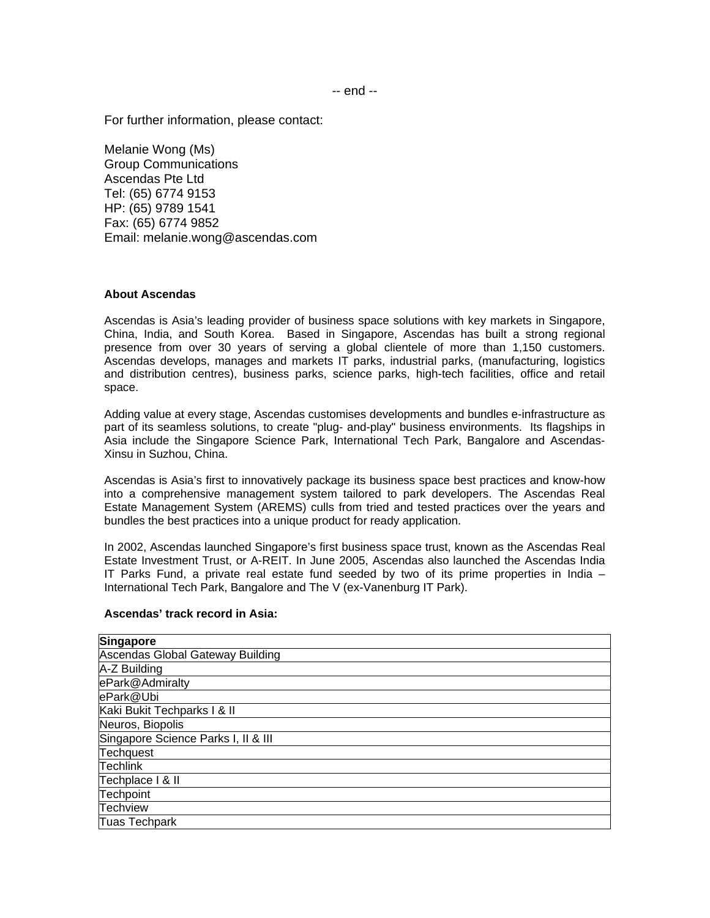For further information, please contact:

Melanie Wong (Ms) Group Communications Ascendas Pte Ltd Tel: (65) 6774 9153 HP: (65) 9789 1541 Fax: (65) 6774 9852 Email: melanie.wong@ascendas.com

#### **About Ascendas**

Ascendas is Asia's leading provider of business space solutions with key markets in Singapore, China, India, and South Korea. Based in Singapore, Ascendas has built a strong regional presence from over 30 years of serving a global clientele of more than 1,150 customers. Ascendas develops, manages and markets IT parks, industrial parks, (manufacturing, logistics and distribution centres), business parks, science parks, high-tech facilities, office and retail space.

Adding value at every stage, Ascendas customises developments and bundles e-infrastructure as part of its seamless solutions, to create "plug- and-play" business environments. Its flagships in Asia include the Singapore Science Park, International Tech Park, Bangalore and Ascendas-Xinsu in Suzhou, China.

Ascendas is Asia's first to innovatively package its business space best practices and know-how into a comprehensive management system tailored to park developers. The Ascendas Real Estate Management System (AREMS) culls from tried and tested practices over the years and bundles the best practices into a unique product for ready application.

In 2002, Ascendas launched Singapore's first business space trust, known as the Ascendas Real Estate Investment Trust, or A-REIT. In June 2005, Ascendas also launched the Ascendas India IT Parks Fund, a private real estate fund seeded by two of its prime properties in India – International Tech Park, Bangalore and The V (ex-Vanenburg IT Park).

#### **Ascendas' track record in Asia:**

| <b>Singapore</b>                    |
|-------------------------------------|
| Ascendas Global Gateway Building    |
| A-Z Building                        |
| ePark@Admiralty                     |
| ePark@Ubi                           |
| Kaki Bukit Techparks   & II         |
| Neuros, Biopolis                    |
| Singapore Science Parks I, II & III |
| Techquest                           |
| <b>Techlink</b>                     |
| Techplace I & II                    |
| Techpoint                           |
| <b>Techview</b>                     |
| <b>Tuas Techpark</b>                |